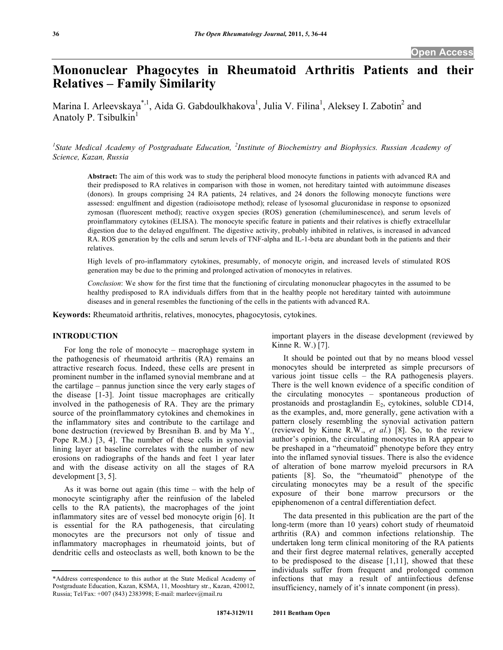# **Mononuclear Phagocytes in Rheumatoid Arthritis Patients and their Relatives – Family Similarity**

Marina I. Arleevskaya<sup>\*, 1</sup>, Aida G. Gabdoulkhakova<sup>1</sup>, Julia V. Filina<sup>1</sup>, Aleksey I. Zabotin<sup>2</sup> and Anatoly P. Tsibulkin $<sup>1</sup>$ </sup>

<sup>1</sup> State Medical Academy of Postgraduate Education, <sup>2</sup>Institute of Biochemistry and Biophysics. Russian Academy of *Science, Kazan, Russia* 

**Abstract:** The aim of this work was to study the peripheral blood monocyte functions in patients with advanced RA and their predisposed to RA relatives in comparison with those in women, not hereditary tainted with autoimmune diseases (donors). In groups comprising 24 RA patients, 24 relatives, and 24 donors the following monocyte functions were assessed: engulfment and digestion (radioisotope method); release of lysosomal glucuronidase in response to opsonized zymosan (fluorescent method); reactive oxygen species (ROS) generation (chemiluminescence), and serum levels of proinflammatory cytokines (ELISA). The monocyte specific feature in patients and their relatives is chiefly extracellular digestion due to the delayed engulfment. The digestive activity, probably inhibited in relatives, is increased in advanced RA. ROS generation by the cells and serum levels of TNF-alpha and IL-1-beta are abundant both in the patients and their relatives.

High levels of pro-inflammatory cytokines, presumably, of monocyte origin, and increased levels of stimulated ROS generation may be due to the priming and prolonged activation of monocytes in relatives.

*Conclusion*: We show for the first time that the functioning of circulating mononuclear phagocytes in the assumed to be healthy predisposed to RA individuals differs from that in the healthy people not hereditary tainted with autoimmune diseases and in general resembles the functioning of the cells in the patients with advanced RA.

**Keywords:** Rheumatoid arthritis, relatives, monocytes, phagocytosis, cytokines.

# **INTRODUCTION**

 For long the role of monocyte – macrophage system in the pathogenesis of rheumatoid arthritis (RA) remains an attractive research focus. Indeed, these cells are present in prominent number in the inflamed synovial membrane and at the cartilage – pannus junction since the very early stages of the disease [1-3]. Joint tissue macrophages are critically involved in the pathogenesis of RA. They are the primary source of the proinflammatory cytokines and chemokines in the inflammatory sites and contribute to the cartilage and bone destruction (reviewed by Bresnihan B. and by Ma Y., Pope R.M.) [3, 4]. The number of these cells in synovial lining layer at baseline correlates with the number of new erosions on radiographs of the hands and feet 1 year later and with the disease activity on all the stages of RA development [3, 5].

 As it was borne out again (this time – with the help of monocyte scintigraphy after the reinfusion of the labeled cells to the RA patients), the macrophages of the joint inflammatory sites are of vessel bed monocyte origin [6]. It is essential for the RA pathogenesis, that circulating monocytes are the precursors not only of tissue and inflammatory macrophages in rheumatoid joints, but of dendritic cells and osteoclasts as well, both known to be the

important players in the disease development (reviewed by Kinne R. W.) [7].

 It should be pointed out that by no means blood vessel monocytes should be interpreted as simple precursors of various joint tissue cells – the RA pathogenesis players. There is the well known evidence of a specific condition of the circulating monocytes – spontaneous production of prostanoids and prostaglandin  $E_2$ , cytokines, soluble CD14, as the examples, and, more generally, gene activation with a pattern closely resembling the synovial activation pattern (reviewed by Kinne R.W., *et al.*) [8]. So, to the review author's opinion, the circulating monocytes in RA appear to be preshaped in a "rheumatoid" phenotype before they entry into the inflamed synovial tissues. There is also the evidence of alteration of bone marrow myeloid precursors in RA patients [8]. So, the "rheumatoid" phenotype of the circulating monocytes may be a result of the specific exposure of their bone marrow precursors or the epiphenomenon of a central differentiation defect.

 The data presented in this publication are the part of the long-term (more than 10 years) cohort study of rheumatoid arthritis (RA) and common infections relationship. The undertaken long term clinical monitoring of the RA patients and their first degree maternal relatives, generally accepted to be predisposed to the disease [1,11], showed that these individuals suffer from frequent and prolonged common infections that may a result of antiinfectious defense insufficiency, namely of it's innate component (in press).

<sup>\*</sup>Address correspondence to this author at the State Medical Academy of Postgraduate Education, Kazan, KSMA, 11, Mooshtary str., Kazan, 420012, Russia; Tel/Fax: +007 (843) 2383998; E-mail: marleev@mail.ru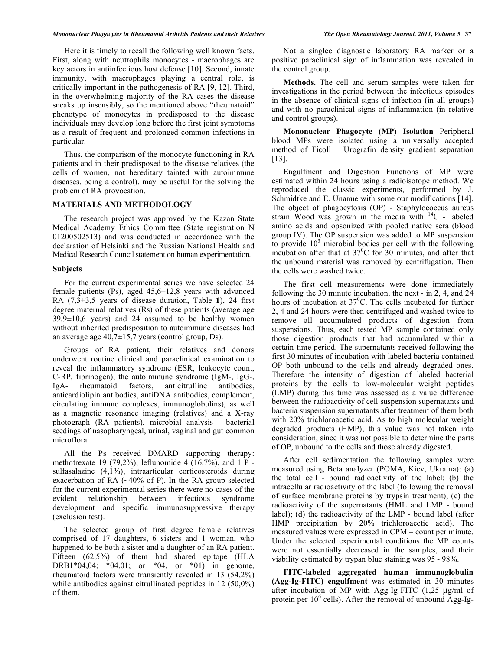#### *Mononuclear Phagocytes in Rheumatoid Arthritis Patients and their Relatives The Open Rheumatology Journal, 2011, Volume 5* **37**

 Here it is timely to recall the following well known facts. First, along with neutrophils monocytes - macrophages are key actors in antiinfectious host defense [10]. Second, innate immunity, with macrophages playing a central role, is critically important in the pathogenesis of RA [9, 12]. Third, in the overwhelming majority of the RA cases the disease sneaks up insensibly, so the mentioned above "rheumatoid" phenotype of monocytes in predisposed to the disease individuals may develop long before the first joint symptoms as a result of frequent and prolonged common infections in particular.

 Thus, the comparison of the monocyte functioning in RA patients and in their predisposed to the disease relatives (the cells of women, not hereditary tainted with autoimmune diseases, being a control), may be useful for the solving the problem of RA provocation.

# **MATERIALS AND METHODOLOGY**

 The research project was approved by the Kazan State Medical Academy Ethics Committee (State registration N 01200502513) and was conducted in accordance with the declaration of Helsinki and the Russian National Health and Medical Research Council statement on human experimentation.

### **Subjects**

 For the current experimental series we have selected 24 female patients (Ps), aged  $45,6\pm 12,8$  years with advanced RA (7,3±3,5 years of disease duration, Table **1**), 24 first degree maternal relatives (Rs) of these patients (average age  $39,9\pm10,6$  years) and 24 assumed to be healthy women without inherited predisposition to autoimmune diseases had an average age 40,7±15,7 years (control group, Ds).

 Groups of RA patient, their relatives and donors underwent routine clinical and paraclinical examination to reveal the inflammatory syndrome (ESR, leukocyte count, C-RP, fibrinogen), the autoimmune syndrome (IgM-, IgG-, IgA- rheumatoid factors, anticitrulline antibodies, anticardiolipin antibodies, antiDNA antibodies, complement, circulating immune complexes, immunoglobulins), as well as a magnetic resonance imaging (relatives) and a X-ray photograph (RA patients), microbial analysis - bacterial seedings of nasopharyngeal, urinal, vaginal and gut common microflora.

 All the Ps received DMARD supporting therapy: methotrexate 19 (79,2%), leflunomide 4 (16,7%), and 1 P sulfasalazine (4,1%), intraarticular corticosteroids during exacerbation of RA  $(-40\% \text{ of P})$ . In the RA group selected for the current experimental series there were no cases of the evident relationship between infectious syndrome development and specific immunosuppressive therapy (exclusion test).

 The selected group of first degree female relatives comprised of 17 daughters, 6 sisters and 1 woman, who happened to be both a sister and a daughter of an RA patient. Fifteen (62,5%) of them had shared epitope (HLA DRB1\*04,04; \*04,01; or \*04, or \*01) in genome, rheumatoid factors were transiently revealed in 13 (54,2%) while antibodies against citrullinated peptides in 12 (50,0%) of them.

 Not a singlee diagnostic laboratory RA marker or a positive paraclinical sign of inflammation was revealed in the control group.

 **Methods.** The cell and serum samples were taken for investigations in the period between the infectious episodes in the absence of clinical signs of infection (in all groups) and with no paraclinical signs of inflammation (in relative and control groups).

**Mononuclear Phagocyte (MP) Isolation** Peripheral blood MPs were isolated using a universally accepted method of Ficoll – Urografin density gradient separation [13].

Engulfment and Digestion Functions of MP were estimated within 24 hours using a radioisotope method. We reproduced the classic experiments, performed by J. Schmidtke and E. Unanue with some our modifications [14]. The object of phagocytosis (OP) - Staphylococcus aureus strain Wood was grown in the media with 14C - labeled amino acids and opsonized with pooled native sera (blood group IV). The OP suspension was added to MP suspension to provide  $10<sup>3</sup>$  microbial bodies per cell with the following incubation after that at  $37^{\circ}$ C for 30 minutes, and after that the unbound material was removed by centrifugation. Then the cells were washed twice.

 The first cell measurements were done immediately following the 30 minute incubation, the next - in 2, 4, and 24 hours of incubation at  $37^{\circ}$ C. The cells incubated for further 2, 4 and 24 hours were then centrifuged and washed twice to remove all accumulated products of digestion from suspensions. Thus, each tested MP sample contained only those digestion products that had accumulated within a certain time period. The supernatants received following the first 30 minutes of incubation with labeled bacteria contained OP both unbound to the cells and already degraded ones. Therefore the intensity of digestion of labeled bacterial proteins by the cells to low-molecular weight peptides (LMP) during this time was assessed as a value difference between the radioactivity of cell suspension supernatants and bacteria suspension supernatants after treatment of them both with 20% trichloroacetic acid. As to high molecular weight degraded products (HMP), this value was not taken into consideration, since it was not possible to determine the parts of OP, unbound to the cells and those already digested.

 After cell sedimentation the following samples were measured using Beta analyzer (POMA, Kiev, Ukraina): (a) the total cell - bound radioactivity of the label; (b) the intracellular radioactivity of the label (following the removal of surface membrane proteins by trypsin treatment); (c) the radioactivity of the supernatants (HML and LMP - bound label); (d) the radioactivity of the LMP - bound label (after HMP precipitation by 20% trichloroacetic acid). The measured values were expressed in CPM – count per minute. Under the selected experimental conditions the MP counts were not essentially decreased in the samples, and their viability estimated by trypan blue staining was 95 - 98%.

 **FITC-labeled aggregated human immunoglobulin (Agg-Ig-FITC) engulfment** was estimated in 30 minutes after incubation of MP with Agg-Ig-FITC (1,25 μg/ml of protein per  $10^6$  cells). After the removal of unbound Agg-Ig-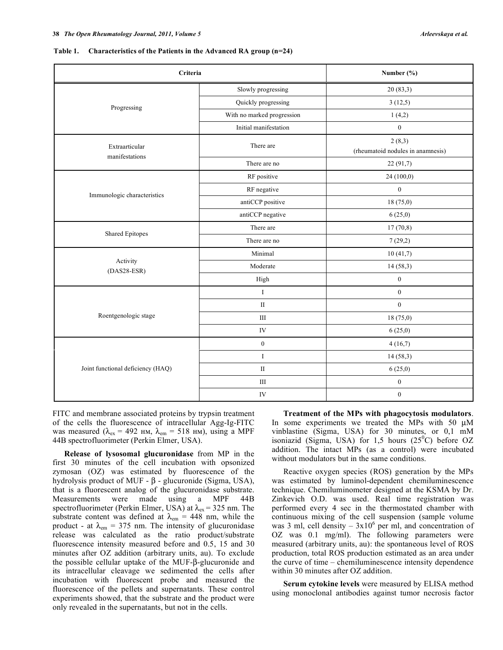| Table 1. Characteristics of the Patients in the Advanced RA group $(n=24)$ |  |
|----------------------------------------------------------------------------|--|
|----------------------------------------------------------------------------|--|

| Criteria                          | Number (%)                 |                                             |  |
|-----------------------------------|----------------------------|---------------------------------------------|--|
|                                   | Slowly progressing         | 20(83,3)                                    |  |
| Progressing                       | Quickly progressing        | 3(12,5)                                     |  |
|                                   | With no marked progression | 1(4,2)                                      |  |
|                                   | Initial manifestation      | $\boldsymbol{0}$                            |  |
| Extraarticular<br>manifestations  | There are                  | 2(8,3)<br>(rheumatoid nodules in anamnesis) |  |
|                                   | There are no               | 22 (91,7)                                   |  |
|                                   | RF positive                | 24 (100,0)                                  |  |
| Immunologic characteristics       | RF negative                | $\boldsymbol{0}$                            |  |
|                                   | antiCCP positive           | 18 (75,0)                                   |  |
|                                   | antiCCP negative           | 6(25,0)                                     |  |
| <b>Shared Epitopes</b>            | There are                  | 17(70,8)                                    |  |
|                                   | There are no               | 7(29,2)                                     |  |
|                                   | Minimal                    | 10(41,7)                                    |  |
| Activity<br>$(DAS28-ESR)$         | Moderate                   | 14(58,3)                                    |  |
|                                   | High                       | $\boldsymbol{0}$                            |  |
|                                   | $\rm I$                    | $\boldsymbol{0}$                            |  |
|                                   | $\mathbf{I}$               | $\overline{0}$                              |  |
| Roentgenologic stage              | $\rm III$                  | 18 (75,0)                                   |  |
|                                   | IV                         | 6(25,0)                                     |  |
|                                   | $\mathbf{0}$               | 4(16,7)                                     |  |
|                                   | $\mathbf I$                | 14(58,3)                                    |  |
| Joint functional deficiency (HAQ) | $\rm II$                   | 6(25,0)                                     |  |
|                                   | $\rm III$                  | $\boldsymbol{0}$                            |  |
|                                   | IV                         | $\boldsymbol{0}$                            |  |

FITC and membrane associated proteins by trypsin treatment of the cells the fluorescence of intracellular Agg-Ig-FITC was measured ( $\lambda_{\text{ex}} = 492 \text{ HM}, \lambda_{\text{em}} = 518 \text{ HM}$ ), using a MPF 44B spectrofluorimeter (Perkin Elmer, USA).

 **Release of lysosomal glucuronidase** from MP in the first 30 minutes of the cell incubation with opsonized zymosan (OZ) was estimated by fluorescence of the hydrolysis product of MUF  $- \beta$  - glucuronide (Sigma, USA), that is a fluorescent analog of the glucuronidase substrate. Measurements were made using a MPF 44B spectrofluorimeter (Perkin Elmer, USA) at  $\lambda_{ex}$  = 325 nm. The substrate content was defined at  $\lambda_{\rm em} = 448$  nm, while the product - at  $\lambda_{\text{em}} = 375$  nm. The intensity of glucuronidase release was calculated as the ratio product/substrate fluorescence intensity measured before and 0.5, 15 and 30 minutes after OZ addition (arbitrary units, au). To exclude the possible cellular uptake of the MUF- $\beta$ -glucuronide and its intracellular cleavage we sedimented the cells after incubation with fluorescent probe and measured the fluorescence of the pellets and supernatants. These control experiments showed, that the substrate and the product were only revealed in the supernatants, but not in the cells.

 **Treatment of the MPs with phagocytosis modulators**. In some experiments we treated the MPs with 50 μM vinblastine (Sigma, USA) for 30 minutes, or 0,1 mM isoniazid (Sigma, USA) for 1,5 hours  $(25^{\circ}\text{C})$  before OZ addition. The intact MPs (as a control) were incubated without modulators but in the same conditions.

 Reactive oxygen species (ROS) generation by the MPs was estimated by luminol-dependent chemiluminescence technique. Chemiluminometer designed at the KSMA by Dr. Zinkevich O.D. was used. Real time registration was performed every 4 sec in the thermostated chamber with continuous mixing of the cell suspension (sample volume was 3 ml, cell density –  $3x10^6$  per ml, and concentration of OZ was 0.1 mg/ml). The following parameters were measured (arbitrary units, au): the spontaneous level of ROS production, total ROS production estimated as an area under the curve of time – chemiluminescence intensity dependence within 30 minutes after OZ addition.

 **Serum cytokine levels** were measured by ELISA method using monoclonal antibodies against tumor necrosis factor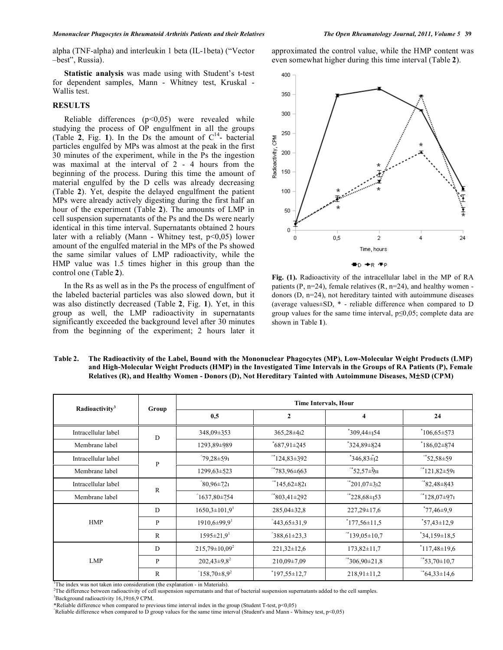alpha (TNF-alpha) and interleukin 1 beta (IL-1beta) ("Vector –best", Russia).

 **Statistic analysis** was made using with Student's t-test for dependent samples, Mann - Whitney test, Kruskal - Wallis test.

# **RESULTS**

Reliable differences  $(p<0.05)$  were revealed while studying the process of OP engulfment in all the groups (Table  $2$ , Fig. 1). In the Ds the amount of  $C<sup>14</sup>$ - bacterial particles engulfed by MPs was almost at the peak in the first 30 minutes of the experiment, while in the Ps the ingestion was maximal at the interval of 2 - 4 hours from the beginning of the process. During this time the amount of material engulfed by the D cells was already decreasing (Table **2**). Yet, despite the delayed engulfment the patient MPs were already actively digesting during the first half an hour of the experiment (Table **2**). The amounts of LMP in cell suspension supernatants of the Ps and the Ds were nearly identical in this time interval. Supernatants obtained 2 hours later with a reliably (Mann - Whitney test, p<0,05) lower amount of the engulfed material in the MPs of the Ps showed the same similar values of LMP radioactivity, while the HMP value was 1.5 times higher in this group than the control one (Table **2**).

 In the Rs as well as in the Ps the process of engulfment of the labeled bacterial particles was also slowed down, but it was also distinctly decreased (Table **2**, Fig. **1**). Yet, in this group as well, the LMP radioactivity in supernatants significantly exceeded the background level after 30 minutes from the beginning of the experiment; 2 hours later it

approximated the control value, while the HMP content was even somewhat higher during this time interval (Table **2**).



**Fig. (1).** Radioactivity of the intracellular label in the MP of RA patients (P,  $n=24$ ), female relatives (R,  $n=24$ ), and healthy women donors (D, n=24), not hereditary tainted with autoimmune diseases (average values±SD, \* - reliable difference when compared to D group values for the same time interval,  $p \le 0.05$ ; complete data are shown in Table **1**).

| Table 2. | The Radioactivity of the Label, Bound with the Mononuclear Phagocytes (MP), Low-Molecular Weight Products (LMP)      |
|----------|----------------------------------------------------------------------------------------------------------------------|
|          | and High-Molecular Weight Products (HMP) in the Investigated Time Intervals in the Groups of RA Patients (P), Female |
|          | Relatives (R), and Healthy Women - Donors (D), Not Hereditary Tainted with Autoimmune Diseases, M±SD (CPM)           |

| Radioactivity <sup>3</sup> | Group        | <b>Time Intervals, Hour</b>    |                         |                                 |                       |
|----------------------------|--------------|--------------------------------|-------------------------|---------------------------------|-----------------------|
|                            |              | 0.5                            | $\overline{2}$          | $\overline{\mathbf{4}}$         | 24                    |
| Intracellular label        | D            | 348,09±353                     | 365,28±412              | $*309,44\pm 154$                | $106,65 \pm 573$      |
| Membrane label             |              | 1293,89±989                    | $*687,91\pm245$         | $324,89 \pm 824$                | $186,02\pm874$        |
| Intracellular label        | $\mathbf{P}$ | $^{\circ}$ 79,28±591           | $^{\circ*}124,83\pm392$ | $*346,83\tilde{+}12$            | $^*$ 52,58±59         |
| Membrane label             |              | 1299,63±523                    | $*783,96\pm663$         | $*$ 52,57 $\pm$ 9 <sub>11</sub> | $^*121,82\pm 591$     |
| Intracellular label        | $\mathbb{R}$ | $^{\circ}80,96\pm721$          | $*145,62\pm821$         | $^*$ 201,07 $\pm$ 312           | $^*$ 82,48 $\pm$ 843  |
| Membrane label             |              | $^{\circ}1637,80\pm754$        | $*$ 803,41 $\pm$ 292    | $^*228,68\pm 153$               | $^*128,07\pm971$      |
| <b>HMP</b>                 | D            | $1650,3\pm101,9$ <sup>1</sup>  | $285,04\pm32,8$         | $227,29 \pm 17,6$               | $*77,46\pm9,9$        |
|                            | P            | $1910,6 \pm 99.9$ <sup>1</sup> | $443,65\pm31,9$         | $*177,56\pm11,5$                | $37,43 \pm 12,9$      |
|                            | $\mathbb{R}$ | $1595 \pm 21.9$ <sup>1</sup>   | $^{\circ}388,61\pm23,3$ | $^*139,05\pm10,7$               | $34,159\pm18,5$       |
| <b>LMP</b>                 | D            | $215,79 \pm 10,09^2$           | $221,32 \pm 12,6$       | $173,82 \pm 11,7$               | $117,48\pm19,6$       |
|                            | P            | $202,43\pm9,8^2$               | $210,09\pm7,09$         | $*306,90\pm21,8$                | $^*$ 53,70 $\pm$ 10,7 |
|                            | R            | $^{\circ}158,70\pm8,9^2$       | $*197,55\pm12,7$        | $218,91 \pm 11,2$               | $^*64,33\pm14,6$      |

<sup>1</sup>The index was not taken into consideration (the explanation - in Materials).

The difference between radioactivity of cell suspension supernatants and that of bacterial suspension supernatants added to the cell samples.

Background radioactivity 16,19±6,9 CPM.

 $\hat{\text{Reliable}}$  difference when compared to D group values for the same time interval (Student's and Mann - Whitney test, p<0,05)

<sup>\*</sup>Reliable difference when compared to previous time interval index in the group (Student T-test, p<0,05)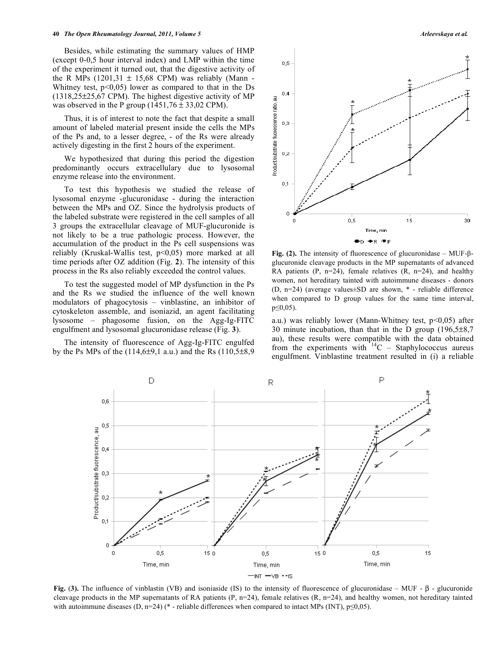#### **40** *The Open Rheumatology Journal, 2011, Volume 5* **Arleevskaya et al.** *Arleevskaya et al.**Arleevskaya et al.*

 Besides, while estimating the summary values of HMP (except 0-0,5 hour interval index) and LMP within the time of the experiment it turned out, that the digestive activity of the R MPs  $(1201,31 \pm 15,68 \text{ CPM})$  was reliably (Mann -Whitney test,  $p<0.05$  lower as compared to that in the Ds (1318,25±25,67 CPM). The highest digestive activity of MP was observed in the P group  $(1451,76 \pm 33,02 \text{ CPM})$ .

 Thus, it is of interest to note the fact that despite a small amount of labeled material present inside the cells the MPs of the Ps and, to a lesser degree, - of the Rs were already actively digesting in the first 2 hours of the experiment.

 We hypothesized that during this period the digestion predominantly occurs extracellulary due to lysosomal enzyme release into the environment.

 To test this hypothesis we studied the release of lysosomal enzyme -glucuronidase - during the interaction between the MPs and OZ. Since the hydrolysis products of the labeled substrate were registered in the cell samples of all 3 groups the extracellular cleavage of MUF-glucuronide is not likely to be a true pathologic process. However, the accumulation of the product in the Ps cell suspensions was reliably (Kruskal-Wallis test, p<0,05) more marked at all time periods after OZ addition (Fig. **2**). The intensity of this process in the Rs also reliably exceeded the control values.

 To test the suggested model of MP dysfunction in the Ps and the Rs we studied the influence of the well known modulators of phagocytosis – vinblastine, an inhibitor of cytoskeleton assemble, and isoniazid, an agent facilitating lysosome – phagosome fusion, on the Agg-Ig-FITC engulfment and lysosomal glucuronidase release (Fig. **3**).

 The intensity of fluorescence of Agg-Ig-FITC engulfed by the Ps MPs of the  $(114,6±9,1$  a.u.) and the Rs  $(110,5±8,9)$ 



Fig. (2). The intensity of fluorescence of glucuronidase  $-$  MUF- $\beta$ glucuronide cleavage products in the MP supernatants of advanced RA patients (P,  $n=24$ ), female relatives (R,  $n=24$ ), and healthy women, not hereditary tainted with autoimmune diseases - donors (D, n=24) (average values±SD are shown, \* - reliable difference when compared to D group values for the same time interval,  $p \leq 0.05$ ).

a.u.) was reliably lower (Mann-Whitney test,  $p<0.05$ ) after 30 minute incubation, than that in the D group  $(196,5\pm8,7)$ au), these results were compatible with the data obtained from the experiments with  $14C -$  Staphylococcus aureus engulfment. Vinblastine treatment resulted in (i) a reliable



**Fig.** (3). The influence of vinblastin (VB) and isoniaside (IS) to the intensity of fluorescence of glucuronidase – MUF -  $\beta$  - glucuronide cleavage products in the MP supernatants of RA patients  $(P, n=24)$ , female relatives  $(R, n=24)$ , and healthy women, not hereditary tainted with autoimmune diseases (D, n=24) (\* - reliable differences when compared to intact MPs (INT),  $p\leq 0,05$ ).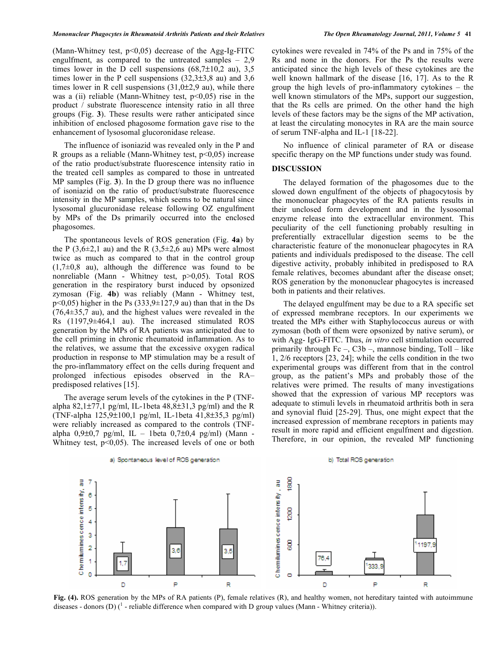(Mann-Whitney test,  $p<0.05$ ) decrease of the Agg-Ig-FITC engulfment, as compared to the untreated samples – 2,9 times lower in the D cell suspensions  $(68,7\pm10,2)$  au), 3,5 times lower in the P cell suspensions  $(32.3\pm3.8$  au) and 3.6 times lower in R cell suspensions  $(31,0\pm2,9)$  au), while there was a (ii) reliable (Mann-Whitney test,  $p<0,05$ ) rise in the product / substrate fluorescence intensity ratio in all three groups (Fig. **3**). These results were rather anticipated since inhibition of enclosed phagosome formation gave rise to the enhancement of lysosomal glucoronidase release.

 The influence of isoniazid was revealed only in the P and R groups as a reliable (Mann-Whitney test,  $p<0,05$ ) increase of the ratio product/substrate fluorescence intensity ratio in the treated cell samples as compared to those in untreated MP samples (Fig. **3**). In the D group there was no influence of isoniazid on the ratio of product/substrate fluorescence intensity in the MP samples, which seems to be natural since lysosomal glucuronidase release following OZ engulfment by MPs of the Ds primarily occurred into the enclosed phagosomes.

 The spontaneous levels of ROS generation (Fig. **4a**) by the P (3,6 $\pm$ 2,1 au) and the R (3,5 $\pm$ 2,6 au) MPs were almost twice as much as compared to that in the control group  $(1,7\pm0,8)$  au), although the difference was found to be nonreliable (Mann - Whitney test, p>0,05). Total ROS generation in the respiratory burst induced by opsonized zymosan (Fig. **4b**) was reliably (Mann - Whitney test,  $p<0.05$ ) higher in the Ps (333,9 $\pm$ 127,9 au) than that in the Ds (76,4±35,7 au), and the highest values were revealed in the Rs (1197,9±464,1 au). The increased stimulated ROS generation by the MPs of RA patients was anticipated due to the cell priming in chronic rheumatoid inflammation. As to the relatives, we assume that the excessive oxygen radical production in response to MP stimulation may be a result of the pro-inflammatory effect on the cells during frequent and prolonged infectious episodes observed in the RA– predisposed relatives [15].

 The average serum levels of the cytokines in the P (TNFalpha 82,1 $\pm$ 77,1 pg/ml, IL-1beta 48,8 $\pm$ 31,3 pg/ml) and the R (TNF-alpha 125,9±100,1 pg/ml, IL-1beta 41,8±35,3 pg/ml) were reliably increased as compared to the controls (TNFalpha  $0,9\pm0,7$  pg/ml, IL - 1beta  $0,7\pm0,4$  pg/ml) (Mann -Whitney test,  $p<0,05$ ). The increased levels of one or both cytokines were revealed in 74% of the Ps and in 75% of the Rs and none in the donors. For the Ps the results were anticipated since the high levels of these cytokines are the well known hallmark of the disease [16, 17]. As to the R group the high levels of pro-inflammatory cytokines – the well known stimulators of the MPs, support our suggestion, that the Rs cells are primed. On the other hand the high levels of these factors may be the signs of the MP activation, at least the circulating monocytes in RA are the main source of serum TNF-alpha and IL-1 [18-22].

 No influence of clinical parameter of RA or disease specific therapy on the MP functions under study was found.

# **DISCUSSION**

 The delayed formation of the phagosomes due to the slowed down engulfment of the objects of phagocytosis by the mononuclear phagocytes of the RA patients results in their unclosed form development and in the lysosomal enzyme release into the extracellular environment. This peculiarity of the cell functioning probably resulting in preferentially extracellular digestion seems to be the characteristic feature of the mononuclear phagocytes in RA patients and individuals predisposed to the disease. The cell digestive activity, probably inhibited in predisposed to RA female relatives, becomes abundant after the disease onset; ROS generation by the mononuclear phagocytes is increased both in patients and their relatives.

 The delayed engulfment may be due to a RA specific set of expressed membrane receptors. In our experiments we treated the MPs either with Staphylococcus aureus or with zymosan (both of them were opsonized by native serum), or with Agg- IgG-FITC. Thus, *in vitro* cell stimulation occurred primarily through  $Fc - C3b$  –, mannose binding, Toll – like 1, 2/6 receptors [23, 24]; while the cells condition in the two experimental groups was different from that in the control group, as the patient's MPs and probably those of the relatives were primed. The results of many investigations showed that the expression of various MP receptors was adequate to stimuli levels in rheumatoid arthritis both in sera and synovial fluid [25-29]. Thus, one might expect that the increased expression of membrane receptors in patients may result in more rapid and efficient engulfment and digestion. Therefore, in our opinion, the revealed MP functioning



**Fig. (4).** ROS generation by the MPs of RA patients (P), female relatives (R), and healthy women, not hereditary tainted with autoimmune diseases - donors (D)  $($ <sup>1</sup> - reliable difference when compared with D group values (Mann - Whitney criteria)).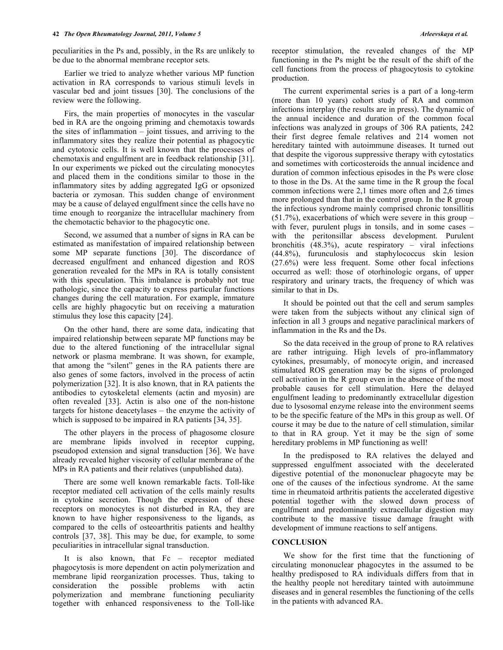peculiarities in the Ps and, possibly, in the Rs are unlikely to be due to the abnormal membrane receptor sets.

 Earlier we tried to analyze whether various MP function activation in RA corresponds to various stimuli levels in vascular bed and joint tissues [30]. The conclusions of the review were the following.

 Firs, the main properties of monocytes in the vascular bed in RA are the ongoing priming and chemotaxis towards the sites of inflammation – joint tissues, and arriving to the inflammatory sites they realize their potential as phagocytic and cytotoxic cells. It is well known that the processes of chemotaxis and engulfment are in feedback relationship [31]. In our experiments we picked out the circulating monocytes and placed them in the conditions similar to those in the inflammatory sites by adding aggregated IgG or opsonized bacteria or zymosan. This sudden change of environment may be a cause of delayed engulfment since the cells have no time enough to reorganize the intracellular machinery from the chemotactic behavior to the phagocytic one.

 Second, we assumed that a number of signs in RA can be estimated as manifestation of impaired relationship between some MP separate functions [30]. The discordance of decreased engulfment and enhanced digestion and ROS generation revealed for the MPs in RA is totally consistent with this speculation. This imbalance is probably not true pathologic, since the capacity to express particular functions changes during the cell maturation. For example, immature cells are highly phagocytic but on receiving a maturation stimulus they lose this capacity [24].

 On the other hand, there are some data, indicating that impaired relationship between separate MP functions may be due to the altered functioning of the intracellular signal network or plasma membrane. It was shown, for example, that among the "silent" genes in the RA patients there are also genes of some factors, involved in the process of actin polymerization [32]. It is also known, that in RA patients the antibodies to cytoskeletal elements (actin and myosin) are often revealed [33]. Actin is also one of the non-histone targets for histone deacetylases – the enzyme the activity of which is supposed to be impaired in RA patients [34, 35].

 The other players in the process of phagosome closure are membrane lipids involved in receptor cupping, pseudopod extension and signal transduction [36]. We have already revealed higher viscosity of cellular membrane of the MPs in RA patients and their relatives (unpublished data).

 There are some well known remarkable facts. Toll-like receptor mediated cell activation of the cells mainly results in cytokine secretion. Though the expression of these receptors on monocytes is not disturbed in RA, they are known to have higher responsiveness to the ligands, as compared to the cells of osteoarthritis patients and healthy controls [37, 38]. This may be due, for example, to some peculiarities in intracellular signal transduction.

 It is also known, that Fc – receptor mediated phagocytosis is more dependent on actin polymerization and membrane lipid reorganization processes. Thus, taking to consideration the possible problems with actin polymerization and membrane functioning peculiarity together with enhanced responsiveness to the Toll-like

receptor stimulation, the revealed changes of the MP functioning in the Ps might be the result of the shift of the cell functions from the process of phagocytosis to cytokine production.

 The current experimental series is a part of a long-term (more than 10 years) cohort study of RA and common infections interplay (the results are in press). The dynamic of the annual incidence and duration of the common focal infections was analyzed in groups of 306 RA patients, 242 their first degree female relatives and 214 women not hereditary tainted with autoimmune diseases. It turned out that despite the vigorous suppressive therapy with cytostatics and sometimes with corticosteroids the annual incidence and duration of common infectious episodes in the Ps were close to those in the Ds. At the same time in the R group the focal common infections were 2,1 times more often and 2,6 times more prolonged than that in the control group. In the R group the infectious syndrome mainly comprised chronic tonsillitis (51.7%), exacerbations of which were severe in this group – with fever, purulent plugs in tonsils, and in some cases – with the peritonsillar abscess development. Purulent bronchitis  $(48.3\%)$ , acute respiratory – viral infections (44.8%), furunculosis and staphylococcus skin lesion (27.6%) were less frequent. Some other focal infections occurred as well: those of otorhinologic organs, of upper respiratory and urinary tracts, the frequency of which was similar to that in Ds.

 It should be pointed out that the cell and serum samples were taken from the subjects without any clinical sign of infection in all 3 groups and negative paraclinical markers of inflammation in the Rs and the Ds.

 So the data received in the group of prone to RA relatives are rather intriguing. High levels of pro-inflammatory cytokines, presumably, of monocyte origin, and increased stimulated ROS generation may be the signs of prolonged cell activation in the R group even in the absence of the most probable causes for cell stimulation. Here the delayed engulfment leading to predominantly extracellular digestion due to lysosomal enzyme release into the environment seems to be the specific feature of the MPs in this group as well. Of course it may be due to the nature of cell stimulation, similar to that in RA group. Yet it may be the sign of some hereditary problems in MP functioning as well!

 In the predisposed to RA relatives the delayed and suppressed engulfment associated with the decelerated digestive potential of the mononuclear phagocyte may be one of the causes of the infectious syndrome. At the same time in rheumatoid arthritis patients the accelerated digestive potential together with the slowed down process of engulfment and predominantly extracellular digestion may contribute to the massive tissue damage fraught with development of immune reactions to self antigens.

# **CONCLUSION**

 We show for the first time that the functioning of circulating mononuclear phagocytes in the assumed to be healthy predisposed to RA individuals differs from that in the healthy people not hereditary tainted with autoimmune diseases and in general resembles the functioning of the cells in the patients with advanced RA.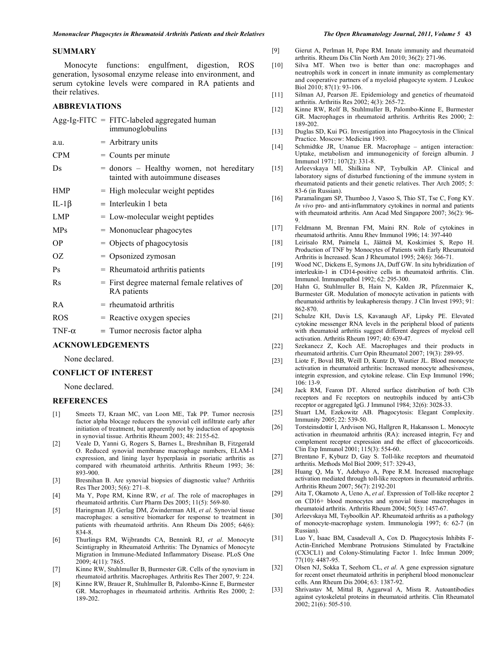### **SUMMARY**

 Monocyte functions: engulfment, digestion, ROS generation, lysosomal enzyme release into environment, and serum cytokine levels were compared in RA patients and their relatives.

# **ABBREVIATIONS**

|               | Agg-Ig-FITC = FITC-labeled aggregated human<br>immunoglobulins               |
|---------------|------------------------------------------------------------------------------|
| a.u.          | $=$ Arbitrary units                                                          |
| <b>CPM</b>    | $=$ Counts per minute                                                        |
| Ds            | = donors – Healthy women, not hereditary<br>tainted with autoimmune diseases |
| <b>HMP</b>    | $=$ High molecular weight peptides                                           |
| IL-1 $\beta$  | $=$ Interleukin 1 beta                                                       |
| <b>LMP</b>    | $=$ Low-molecular weight peptides                                            |
| <b>MPs</b>    | = Mononuclear phagocytes                                                     |
| <b>OP</b>     | $=$ Objects of phagocytosis                                                  |
| OΖ            | = Opsonized zymosan                                                          |
| Ps            | $=$ Rheumatoid arthritis patients                                            |
| Rs            | $=$ First degree maternal female relatives of<br>RA patients                 |
| RA            | $=$ rheumatoid arthritis                                                     |
| <b>ROS</b>    | = Reactive oxygen species                                                    |
| TNF- $\alpha$ | $=$ Tumor necrosis factor alpha                                              |

# **ACKNOWLEDGEMENTS**

None declared.

## **CONFLICT OF INTEREST**

None declared.

# **REFERENCES**

- [1] Smeets TJ, Kraan MC, van Loon ME, Tak PP. Tumor necrosis factor alpha blocage reducers the synovial cell infiltrate early after initiation of treatment, but apparently not by induction of apoptosis in synovial tissue. Arthritis Rheum 2003; 48: 2155-62.
- [2] Veale D, Yanni G, Rogers S, Barnes L, Breshnihan B, Fitzgerald O. Reduced synovial membrane macrophage numbers, ELAM-1 expression, and lining layer hyperplasia in psoriatic arthritis as compared with rheumatoid arthritis. Arthritis Rheum 1993; 36: 893-900.
- [3] Bresnihan B. Are synovial biopsies of diagnostic value? Arthritis Res Ther 2003; 5(6): 271–8.
- [4] Ma Y, Pope RM, Kinne RW, *et al*. The role of macrophages in rheumatoid arthritis. Curr Pharm Des 2005; 11(5): 569-80.
- [5] Haringman JJ, Gerlag DM, Zwinderman AH, *et al*. Synovial tissue macrophages: a sensitive biomarker for response to treatment in patients with rheumatoid arthritis. Ann Rheum Dis 2005; 64(6): 834-8.
- [6] Thurlings RM, Wijbrandts CA, Bennink RJ, *et al*. Monocyte Scintigraphy in Rheumatoid Arthritis: The Dynamics of Monocyte Migration in Immune-Mediated Inflammatory Disease. PLoS One 2009; 4(11): 7865.
- [7] Kinne RW, Stuhlmuller B, Burmester GR. Cells of the synovium in rheumatoid arthritis. Macrophages. Arthritis Res Ther 2007, 9: 224.
- [8] Kinne RW, Brauer R, Stuhlmuller B, Palombo-Kinne E, Burmester GR. Macrophages in rheumatoid arthritis. Arthritis Res 2000; 2: 189-202.

- [9] Gierut A, Perlman H, Pope RM. Innate immunity and rheumatoid arthritis. Rheum Dis Clin North Am 2010; 36(2): 271-96.
- [10] Silva MT. When two is better than one: macrophages and neutrophils work in concert in innate immunity as complementary and cooperative partners of a myeloid phagocyte system. J Leukoc Biol 2010; 87(1): 93-106.
- [11] Silman AJ, Pearson JE. Epidemiology and genetics of rheumatoid arthritis. Arthritis Res 2002; 4(3): 265-72.
- [12] Kinne RW, Rolf B, Stuhlmuller B, Palombo-Kinne E, Burmester GR. Macrophages in rheumatoid arthritis. Arthritis Res 2000; 2: 189-202.
- [13] Duglas SD, Kui PG. Investigation into Phagocytosis in the Clinical Practice. Moscow: Medicina 1993.
- [14] Schmidtke JR, Unanue ER. Macrophage antigen interaction: Uptake, metabolism and immunogenicity of foreign albumin. J Immunol 1971; 107(2): 331-8.
- [15] Arleevskaya MI, Shilkina NP, Tsybulkin AP. Clinical and laboratory signs of disturbed functioning of the immune system in rheumatoid patients and their genetic relatives. Ther Arch 2005; 5: 83-6 (in Russian).
- [16] Paramalingam SP, Thumboo J, Vasoo S, Thio ST, Tse C, Fong KY. *In vivo* pro- and anti-inflammatory cytokines in normal and patients with rheumatoid arthritis. Ann Acad Med Singapore 2007; 36(2): 96- 9.
- [17] Feldmann M, Brennan FM, Maini RN. Role of cytokines in rheumatoid arthritis. Annu Rhev Immunol 1996; 14: 397-440
- [18] Leirisalo RM, Paimela L, Jäätteä M, Koskimies S, Repo H. Production of TNF by Monocytes of Patients with Early Rheumatoid Arthritis is Increased. Scan J Rheumatol 1995; 24(6): 366-71.
- [19] Wood NC, Dickens E, Symons JA, Duff GW. In situ hybridization of interleukin-1 in CD14-positive cells in rheumatoid arthritis. Clin. Immunol. Immunopathol 1992; 62: 295-300.
- [20] Hahn G, Stuhlmuller B, Hain N, Kalden JR, Pfizenmaier K, Burmester GR. Modulation of monocyte activation in patients with rheumatoid arthritis by leukapheresis therapy. J Clin Invest 1993; 91: 862-870.
- [21] Schulze KH, Davis LS, Kavanaugh AF, Lipsky PE. Elevated cytokine messenger RNA levels in the peripheral blood of patients with rheumatoid arthritis suggest different degrees of myeloid cell activation. Arthritis Rheum 1997; 40: 639-47.
- [22] Szekanecz Z, Koch AE. Macrophages and their products in rheumatoid arthritis. Curr Opin Rheumatol 2007; 19(3): 289-95.
- [23] Liote F, Boval BB, Weill D, Kuntz D, Wautier JL. Blood monocyte activation in rheumatoid arthritis: Increased monocyte adhesiveness, integrin expression, and cytokine release. Clin Exp Immunol 1996; 106: 13-9.
- [24] Jack RM, Fearon DT. Altered surface distribution of both C3b receptors and Fc receptors on neutrophils induced by anti-C3b receptor or aggregated IgG. J Immunol 1984; 32(6): 3028-33.
- [25] Stuart LM, Ezekowitz AB. Phagocytosis: Elegant Complexity. Immunity 2005; 22: 539-50.
- [26] Torsteinsdottir I, Ardvison NG, Hallgren R, Hakansson L. Monocyte activation in rheumatoid arthritis (RA): increased integrin, Fcy and complement receptor expression and the effect of glucocorticoids. Clin Exp Immunol 2001; 115(3): 554-60.
- [27] Brentano F, Kyburz D, Gay S. Toll-like receptors and rheumatoid arthritis. Methods Mol Biol 2009; 517: 329-43,
- [28] Huang Q, Ma Y, Adebayo A, Pope R.M. Increased macrophage activation mediated through toll-like receptors in rheumatoid arthritis. Arthritis Rheum 2007; 56(7): 2192-201
- [29] Aita T, Okamoto A, Ueno A, *et al*. Expression of Toll-like receptor 2 on CD16+ blood monocytes and synovial tissue macrophages in rheumatoid arthritis. Arthritis Rheum 2004; 50(5): 1457-67.
- [30] Arleevskaya MI, Tsyboolkin AP. Rheumatoid arthritis as a pathology of monocyte-macrophage system. Immunologia 1997; 6: 62-7 (in Russian).
- [31] Luo Y, Isaac BM, Casadevall A, Cox D. Phagocytosis Inhibits F-Actin-Enriched Membrane Protrusions Stimulated by Fractalkine (CX3CL1) and Colony-Stimulating Factor 1. Infec Immun 2009; 77(10): 4487-95.
- [32] Olsen NJ, Sokka T, Seehorn CL, *et al*. A gene expression signature for recent onset rheumatoid arthritis in peripheral blood mononuclear cells. Ann Rheum Dis 2004; 63: 1387-92.
- [33] Shrivastav M, Mittal B, Aggarwal A, Misra R. Autoantibodies against cytoskeletal proteins in rheumatoid arthritis. Clin Rheumatol 2002; 21(6): 505-510.